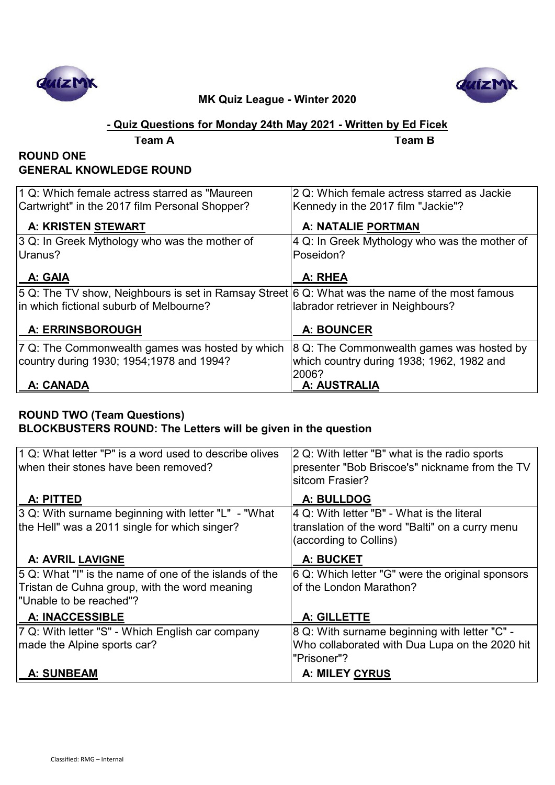



### **- Quiz Questions for Monday 24th May 2021 - Written by Ed Ficek**

| Team A |  |
|--------|--|
|        |  |

**Team A Team B**

#### **ROUND ONE GENERAL KNOWLEDGE ROUND**

| 1 Q: Which female actress starred as "Maureen                                                      | 2 Q: Which female actress starred as Jackie       |
|----------------------------------------------------------------------------------------------------|---------------------------------------------------|
| Cartwright" in the 2017 film Personal Shopper?                                                     | Kennedy in the 2017 film "Jackie"?                |
| <b>A: KRISTEN STEWART</b>                                                                          | A: NATALIE PORTMAN                                |
| 3 Q: In Greek Mythology who was the mother of                                                      | $ 4 Q$ : In Greek Mythology who was the mother of |
| Uranus?                                                                                            | Poseidon?                                         |
| A: GAIA                                                                                            | A: RHEA                                           |
| $ 5 Q$ : The TV show, Neighbours is set in Ramsay Street 6 Q: What was the name of the most famous |                                                   |
| in which fictional suburb of Melbourne?                                                            | labrador retriever in Neighbours?                 |
| <b>A: ERRINSBOROUGH</b>                                                                            | <b>A: BOUNCER</b>                                 |
|                                                                                                    |                                                   |
| 7 Q: The Commonwealth games was hosted by which                                                    | 8 Q: The Commonwealth games was hosted by         |
| country during 1930; 1954;1978 and 1994?                                                           | which country during 1938; 1962, 1982 and         |
|                                                                                                    | 2006?                                             |
| A: CANADA                                                                                          | A: AUSTRALIA                                      |

#### **ROUND TWO (Team Questions) BLOCKBUSTERS ROUND: The Letters will be given in the question**

| 1 Q: What letter "P" is a word used to describe olives<br>when their stones have been removed? | 2 Q: With letter "B" what is the radio sports<br>presenter "Bob Briscoe's" nickname from the TV<br>sitcom Frasier? |
|------------------------------------------------------------------------------------------------|--------------------------------------------------------------------------------------------------------------------|
| A: PITTED                                                                                      | A: BULLDOG                                                                                                         |
| 3 Q: With surname beginning with letter "L" - "What                                            | 4 Q: With letter "B" - What is the literal                                                                         |
| the Hell" was a 2011 single for which singer?                                                  | translation of the word "Balti" on a curry menu<br>(according to Collins)                                          |
| <b>A: AVRIL LAVIGNE</b>                                                                        | A: BUCKET                                                                                                          |
| 5 Q: What "I" is the name of one of the islands of the                                         | 6 Q: Which letter "G" were the original sponsors                                                                   |
| Tristan de Cuhna group, with the word meaning                                                  | of the London Marathon?                                                                                            |
| "Unable to be reached"?                                                                        |                                                                                                                    |
| <b>A: INACCESSIBLE</b>                                                                         | A: GILLETTE                                                                                                        |
| 7 Q: With letter "S" - Which English car company                                               | 8 Q: With surname beginning with letter "C" -                                                                      |
| made the Alpine sports car?                                                                    | Who collaborated with Dua Lupa on the 2020 hit                                                                     |
|                                                                                                | "Prisoner"?                                                                                                        |
| <b>A: SUNBEAM</b>                                                                              | <b>A: MILEY CYRUS</b>                                                                                              |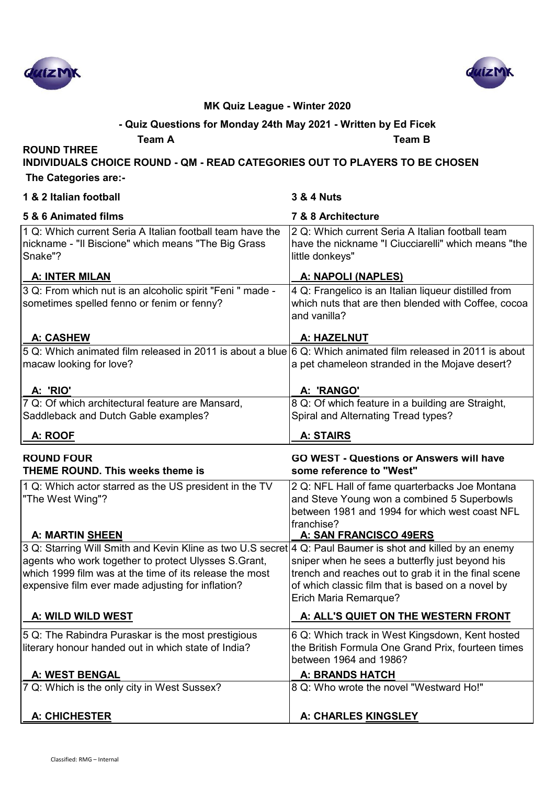



### **- Quiz Questions for Monday 24th May 2021 - Written by Ed Ficek**

**Team A Team B**

**ROUND THREE** 

**INDIVIDUALS CHOICE ROUND - QM - READ CATEGORIES OUT TO PLAYERS TO BE CHOSEN**

 **The Categories are:-**

| 1 & 2 Italian football                                                                                                                                               | <b>3 &amp; 4 Nuts</b>                                                                                                                                                                   |
|----------------------------------------------------------------------------------------------------------------------------------------------------------------------|-----------------------------------------------------------------------------------------------------------------------------------------------------------------------------------------|
| 5 & 6 Animated films                                                                                                                                                 | 7 & 8 Architecture                                                                                                                                                                      |
| 1 Q: Which current Seria A Italian football team have the<br>nickname - "Il Biscione" which means "The Big Grass<br>Snake"?                                          | 2 Q: Which current Seria A Italian football team<br>have the nickname "I Ciucciarelli" which means "the<br>little donkeys"                                                              |
| A: INTER MILAN                                                                                                                                                       | A: NAPOLI (NAPLES)                                                                                                                                                                      |
| 3 Q: From which nut is an alcoholic spirit "Feni " made -<br>sometimes spelled fenno or fenim or fenny?                                                              | 4 Q: Frangelico is an Italian liqueur distilled from<br>which nuts that are then blended with Coffee, cocoa<br>and vanilla?                                                             |
| <b>A: CASHEW</b>                                                                                                                                                     | A: HAZELNUT                                                                                                                                                                             |
| 5 Q: Which animated film released in 2011 is about a blue 6 Q: Which animated film released in 2011 is about<br>macaw looking for love?                              | a pet chameleon stranded in the Mojave desert?                                                                                                                                          |
| A: 'RIO'                                                                                                                                                             | A: 'RANGO'                                                                                                                                                                              |
| 7 Q: Of which architectural feature are Mansard,<br>Saddleback and Dutch Gable examples?                                                                             | 8 Q: Of which feature in a building are Straight,<br>Spiral and Alternating Tread types?                                                                                                |
| A: ROOF                                                                                                                                                              | A: STAIRS                                                                                                                                                                               |
| <b>ROUND FOUR</b><br><b>THEME ROUND. This weeks theme is</b>                                                                                                         | <b>GO WEST - Questions or Answers will have</b><br>some reference to "West"                                                                                                             |
| 1 Q: Which actor starred as the US president in the TV<br>"The West Wing"?<br>A: MARTIN SHEEN                                                                        | 2 Q: NFL Hall of fame quarterbacks Joe Montana<br>and Steve Young won a combined 5 Superbowls<br>between 1981 and 1994 for which west coast NFL<br>franchise?<br>A: SAN FRANCISCO 49ERS |
| 3 Q: Starring Will Smith and Kevin Kline as two U.S secret 4 Q: Paul Baumer is shot and killed by an enemy                                                           |                                                                                                                                                                                         |
| agents who work together to protect Ulysses S.Grant,<br>which 1999 film was at the time of its release the most<br>expensive film ever made adjusting for inflation? | sniper when he sees a butterfly just beyond his<br>trench and reaches out to grab it in the final scene<br>of which classic film that is based on a novel by<br>Erich Maria Remarque?   |
| A: WILD WILD WEST                                                                                                                                                    | A: ALL'S QUIET ON THE WESTERN FRONT                                                                                                                                                     |
| 5 Q: The Rabindra Puraskar is the most prestigious<br>literary honour handed out in which state of India?                                                            | 6 Q: Which track in West Kingsdown, Kent hosted<br>the British Formula One Grand Prix, fourteen times<br>between 1964 and 1986?                                                         |
| A: WEST BENGAL                                                                                                                                                       | <b>A: BRANDS HATCH</b>                                                                                                                                                                  |
| 7 Q: Which is the only city in West Sussex?                                                                                                                          | 8 Q: Who wrote the novel "Westward Ho!"                                                                                                                                                 |
| <b>A: CHICHESTER</b>                                                                                                                                                 | A: CHARLES KINGSLEY                                                                                                                                                                     |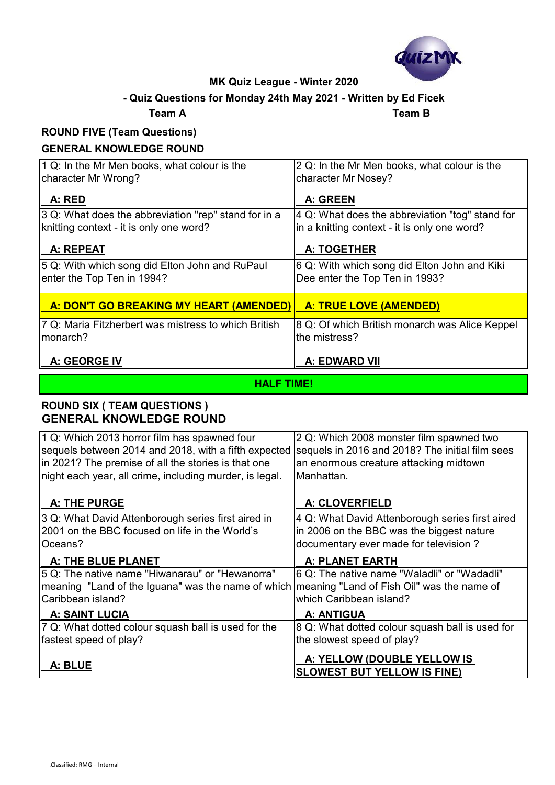

#### **- Quiz Questions for Monday 24th May 2021 - Written by Ed Ficek**

**Team A Team B**

# **ROUND FIVE (Team Questions)**

#### **GENERAL KNOWLEDGE ROUND**

| 1 Q: In the Mr Men books, what colour is the<br>character Mr Wrong? | 2 Q: In the Mr Men books, what colour is the<br>character Mr Nosey? |
|---------------------------------------------------------------------|---------------------------------------------------------------------|
| A: RED                                                              | A: GREEN                                                            |
| 3 Q: What does the abbreviation "rep" stand for in a                | 4 Q: What does the abbreviation "tog" stand for                     |
| knitting context - it is only one word?                             | in a knitting context - it is only one word?                        |
| A: REPEAT                                                           | A: TOGETHER                                                         |
| 5 Q: With which song did Elton John and RuPaul                      | 6 Q: With which song did Elton John and Kiki                        |
| enter the Top Ten in 1994?                                          | Dee enter the Top Ten in 1993?                                      |
| A: DON'T GO BREAKING MY HEART (AMENDED)                             | A: TRUE LOVE (AMENDED)                                              |
| 7 Q: Maria Fitzherbert was mistress to which British                | 8 Q: Of which British monarch was Alice Keppel                      |
| monarch?                                                            | the mistress?                                                       |
| A: GEORGE IV                                                        | A: EDWARD VII                                                       |

#### **HALF TIME!**

#### **ROUND SIX ( TEAM QUESTIONS ) GENERAL KNOWLEDGE ROUND**

| 1 Q: Which 2013 horror film has spawned four<br>sequels between 2014 and 2018, with a fifth expected<br>in 2021? The premise of all the stories is that one | 2 Q: Which 2008 monster film spawned two<br>sequels in 2016 and 2018? The initial film sees<br>an enormous creature attacking midtown |
|-------------------------------------------------------------------------------------------------------------------------------------------------------------|---------------------------------------------------------------------------------------------------------------------------------------|
| night each year, all crime, including murder, is legal.                                                                                                     | Manhattan.                                                                                                                            |
| A: THE PURGE                                                                                                                                                | A: CLOVERFIELD                                                                                                                        |
| 3 Q: What David Attenborough series first aired in                                                                                                          | 4 Q: What David Attenborough series first aired                                                                                       |
| 2001 on the BBC focused on life in the World's                                                                                                              | in 2006 on the BBC was the biggest nature                                                                                             |
| Oceans?                                                                                                                                                     | documentary ever made for television?                                                                                                 |
| A: THE BLUE PLANET                                                                                                                                          | <b>A: PLANET EARTH</b>                                                                                                                |
| 5 Q: The native name "Hiwanarau" or "Hewanorra"                                                                                                             | 6 Q: The native name "Waladli" or "Wadadli"                                                                                           |
| meaning "Land of the Iguana" was the name of which meaning "Land of Fish Oil" was the name of                                                               |                                                                                                                                       |
| Caribbean island?                                                                                                                                           | which Caribbean island?                                                                                                               |
| <b>A: SAINT LUCIA</b>                                                                                                                                       | <b>A: ANTIGUA</b>                                                                                                                     |
| 7 Q: What dotted colour squash ball is used for the                                                                                                         | 8 Q: What dotted colour squash ball is used for                                                                                       |
| fastest speed of play?                                                                                                                                      | the slowest speed of play?                                                                                                            |
| A: BLUE                                                                                                                                                     | A: YELLOW (DOUBLE YELLOW IS<br><b>SLOWEST BUT YELLOW IS FINE)</b>                                                                     |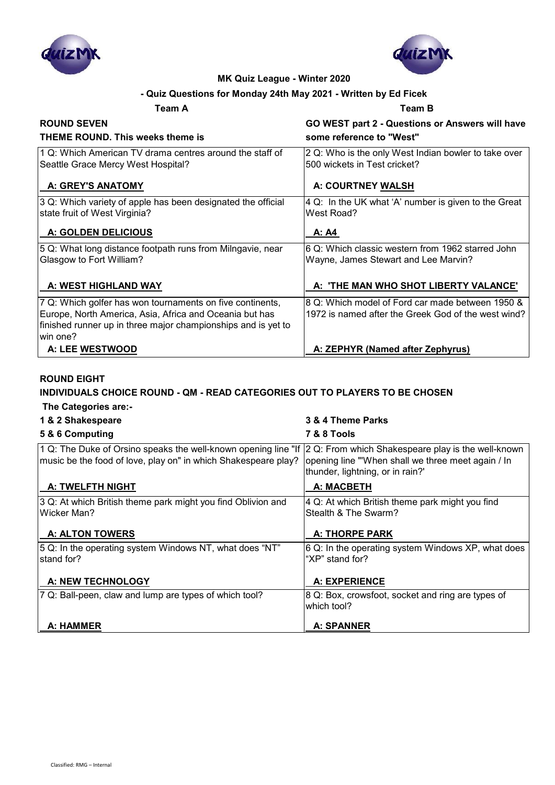



#### **- Quiz Questions for Monday 24th May 2021 - Written by Ed Ficek**

#### **Team A Team B**

| <b>ROUND SEVEN</b>                                                                                                                                                                                 | GO WEST part 2 - Questions or Answers will have                                                         |
|----------------------------------------------------------------------------------------------------------------------------------------------------------------------------------------------------|---------------------------------------------------------------------------------------------------------|
| THEME ROUND. This weeks theme is                                                                                                                                                                   | some reference to "West"                                                                                |
| 1 Q: Which American TV drama centres around the staff of<br>Seattle Grace Mercy West Hospital?                                                                                                     | 2 Q: Who is the only West Indian bowler to take over<br>500 wickets in Test cricket?                    |
| A: GREY'S ANATOMY                                                                                                                                                                                  | A: COURTNEY WALSH                                                                                       |
| 3 Q: Which variety of apple has been designated the official<br>state fruit of West Virginia?                                                                                                      | 4 Q: In the UK what 'A' number is given to the Great<br>West Road?                                      |
| A: GOLDEN DELICIOUS                                                                                                                                                                                | A: A4                                                                                                   |
| 5 Q: What long distance footpath runs from Milngavie, near<br>Glasgow to Fort William?                                                                                                             | 6 Q: Which classic western from 1962 starred John<br>Wayne, James Stewart and Lee Marvin?               |
| A: WEST HIGHLAND WAY                                                                                                                                                                               | A: 'THE MAN WHO SHOT LIBERTY VALANCE'                                                                   |
| 7 Q: Which golfer has won tournaments on five continents,<br>Europe, North America, Asia, Africa and Oceania but has<br>finished runner up in three major championships and is yet to<br>lwin one? | 8 Q: Which model of Ford car made between 1950 &<br>1972 is named after the Greek God of the west wind? |
| A: LEE WESTWOOD                                                                                                                                                                                    | A: ZEPHYR (Named after Zephyrus)                                                                        |

#### **ROUND EIGHT**

### **INDIVIDUALS CHOICE ROUND - QM - READ CATEGORIES OUT TO PLAYERS TO BE CHOSEN**

| 1 & 2 Shakespeare                                                                                                                | 3 & 4 Theme Parks                                                                                                                           |
|----------------------------------------------------------------------------------------------------------------------------------|---------------------------------------------------------------------------------------------------------------------------------------------|
| 5 & 6 Computing                                                                                                                  | <b>7 &amp; 8 Tools</b>                                                                                                                      |
| 1 Q: The Duke of Orsino speaks the well-known opening line "If<br>music be the food of love, play on" in which Shakespeare play? | 2 Q: From which Shakespeare play is the well-known<br>opening line "When shall we three meet again / In<br>thunder, lightning, or in rain?' |
| <b>A: TWELFTH NIGHT</b>                                                                                                          | <b>A: MACBETH</b>                                                                                                                           |
| 3 Q: At which British theme park might you find Oblivion and<br>Wicker Man?                                                      | 4 Q: At which British theme park might you find<br>Stealth & The Swarm?                                                                     |
| <b>A: ALTON TOWERS</b>                                                                                                           | <b>A: THORPE PARK</b>                                                                                                                       |
| 5 Q: In the operating system Windows NT, what does "NT"<br>stand for?                                                            | 6 Q: In the operating system Windows XP, what does<br>"XP" stand for?                                                                       |
| A: NEW TECHNOLOGY                                                                                                                | <b>A: EXPERIENCE</b>                                                                                                                        |
| 7 Q: Ball-peen, claw and lump are types of which tool?                                                                           | 8 Q: Box, crowsfoot, socket and ring are types of<br>which tool?                                                                            |
| A: HAMMER                                                                                                                        | <b>A: SPANNER</b>                                                                                                                           |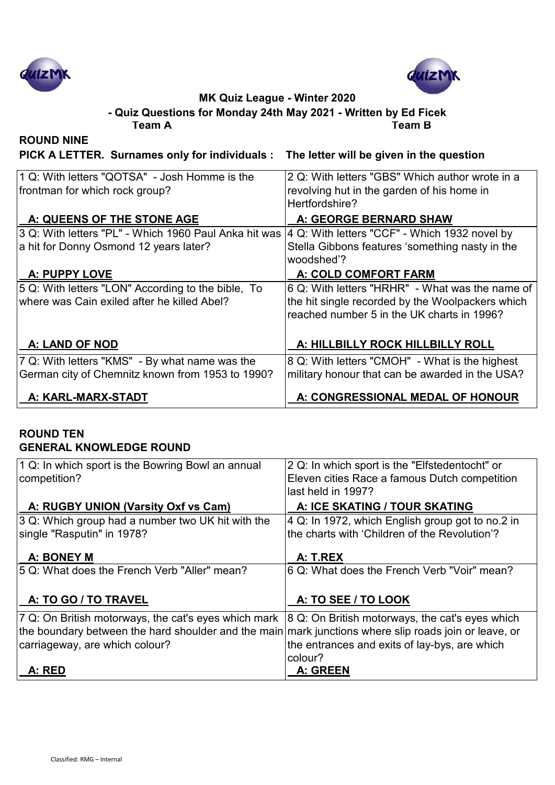



**Team A Team B - Quiz Questions for Monday 24th May 2021 - Written by Ed Ficek**

**ROUND NINE**

**PICK A LETTER. Surnames only for individuals : The letter will be given in the question**

| 1 Q: With letters "QOTSA" - Josh Homme is the                                                        | 2 Q: With letters "GBS" Which author wrote in a  |
|------------------------------------------------------------------------------------------------------|--------------------------------------------------|
| frontman for which rock group?                                                                       | revolving hut in the garden of his home in       |
|                                                                                                      | Hertfordshire?                                   |
| A: QUEENS OF THE STONE AGE                                                                           | A: GEORGE BERNARD SHAW                           |
| 3 Q: With letters "PL" - Which 1960 Paul Anka hit was  4 Q: With letters "CCF" - Which 1932 novel by |                                                  |
| a hit for Donny Osmond 12 years later?                                                               | Stella Gibbons features 'something nasty in the  |
|                                                                                                      | woodshed'?                                       |
| <b>A: PUPPY LOVE</b>                                                                                 | A: COLD COMFORT FARM                             |
| 5 Q: With letters "LON" According to the bible, To                                                   | 6 Q: With letters "HRHR" - What was the name of  |
| where was Cain exiled after he killed Abel?                                                          | the hit single recorded by the Woolpackers which |
|                                                                                                      | reached number 5 in the UK charts in 1996?       |
|                                                                                                      |                                                  |
| A: LAND OF NOD                                                                                       | A: HILLBILLY ROCK HILLBILLY ROLL                 |
| 7 Q: With letters "KMS" - By what name was the                                                       | 8 Q: With letters "CMOH" - What is the highest   |
| German city of Chemnitz known from 1953 to 1990?                                                     | military honour that can be awarded in the USA?  |
| A: KARL-MARX-STADT                                                                                   | A: CONGRESSIONAL MEDAL OF HONOUR                 |
|                                                                                                      |                                                  |

#### **ROUND TEN GENERAL KNOWLEDGE ROUND**

| 1 Q: In which sport is the Bowring Bowl an annual                                                     | 2 Q: In which sport is the "Elfstedentocht" or   |
|-------------------------------------------------------------------------------------------------------|--------------------------------------------------|
| competition?                                                                                          | Eleven cities Race a famous Dutch competition    |
|                                                                                                       | last held in 1997?                               |
| A: RUGBY UNION (Varsity Oxf vs Cam)                                                                   | A: ICE SKATING / TOUR SKATING                    |
| 3 Q: Which group had a number two UK hit with the                                                     | 4 Q: In 1972, which English group got to no.2 in |
| single "Rasputin" in 1978?                                                                            | the charts with 'Children of the Revolution'?    |
|                                                                                                       |                                                  |
| A: BONEY M                                                                                            | A: T.REX                                         |
| 5 Q: What does the French Verb "Aller" mean?                                                          | 6 Q: What does the French Verb "Voir" mean?      |
|                                                                                                       |                                                  |
| A: TO GO / TO TRAVEL                                                                                  | A: TO SEE / TO LOOK                              |
|                                                                                                       |                                                  |
| 7 Q: On British motorways, the cat's eyes which mark                                                  | 8 Q: On British motorways, the cat's eyes which  |
| the boundary between the hard shoulder and the main mark junctions where slip roads join or leave, or |                                                  |
| carriageway, are which colour?                                                                        | the entrances and exits of lay-bys, are which    |
|                                                                                                       | colour?                                          |
| A: RED                                                                                                | A: GREEN                                         |